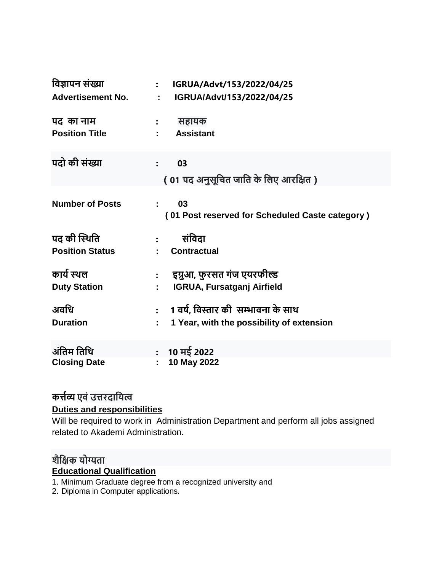| विज्ञापन संख्या                        | IGRUA/Advt/153/2022/04/25<br>$\ddot{\cdot}$                                         |
|----------------------------------------|-------------------------------------------------------------------------------------|
| <b>Advertisement No.</b>               | IGRUA/Advt/153/2022/04/25<br>÷                                                      |
| पद का नाम<br><b>Position Title</b>     | सहायक<br><b>Assistant</b>                                                           |
| पदो की संख्या                          | 03<br>$\ddot{\cdot}$<br>( 01 पद अनुसूचित जाति के लिए आरक्षित )                      |
| <b>Number of Posts</b>                 | 03<br>÷<br>(01 Post reserved for Scheduled Caste category)                          |
| पद की स्थिति<br><b>Position Status</b> | संविदा<br><b>Contractual</b>                                                        |
| कार्य स्थल<br><b>Duty Station</b>      | इग्नुआ, फुरसत गंज एयरफील्ड<br>$\ddot{\bullet}$<br><b>IGRUA, Fursatganj Airfield</b> |
| अवधि<br><b>Duration</b>                | 1 वर्ष, विस्तार की  सम्भावना के साथ<br>1 Year, with the possibility of extension    |
| अंतिम तिथि<br><b>Closing Date</b>      | 10 मई 2022<br>$\bullet$<br>10 May 2022                                              |

## **कर्त्यव्य एिं उर्त्रदावयत्व**

## **Duties and responsibilities**

Will be required to work in Administration Department and perform all jobs assigned related to Akademi Administration.

## **शैविक योग्यता Educational Qualification**

- 1. Minimum Graduate degree from a recognized university and
- 2. Diploma in Computer applications.